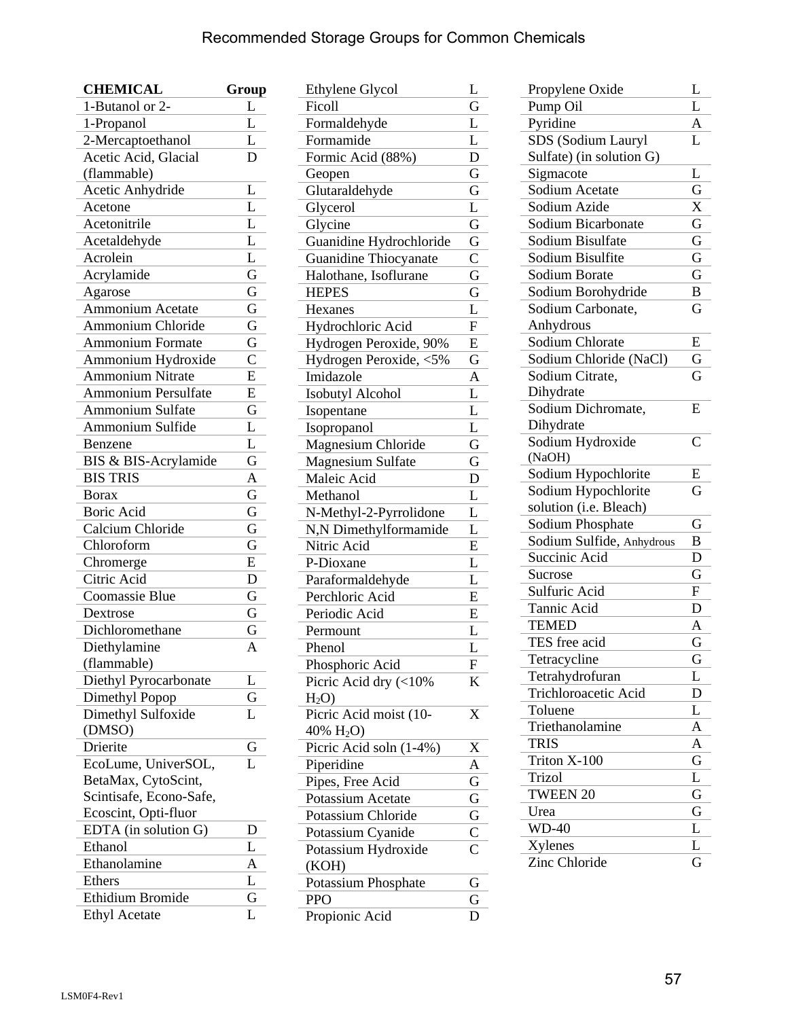## Recommended Storage Groups for Common Chemicals

| <b>CHEMICAL</b>            | Group                   |
|----------------------------|-------------------------|
| 1-Butanol or 2-            | $\overline{L}$          |
| 1-Propanol                 | L                       |
| 2-Mercaptoethanol          | L                       |
| Acetic Acid, Glacial       | D                       |
| (flammable)                |                         |
| Acetic Anhydride           | L                       |
| Acetone                    | $\overline{\text{L}}$   |
| Acetonitrile               | L                       |
| Acetaldehyde               | $\overline{\mathsf{L}}$ |
| Acrolein                   | $\overline{\text{L}}$   |
| Acrylamide                 | $\overline{\mathrm{G}}$ |
| Agarose                    | $\overline{\mathrm{G}}$ |
| <b>Ammonium Acetate</b>    | $\overline{\mathrm{G}}$ |
| <b>Ammonium Chloride</b>   | G                       |
| <b>Ammonium Formate</b>    | Ġ                       |
| Ammonium Hydroxide         | $\overline{\mathrm{C}}$ |
| <b>Ammonium Nitrate</b>    | E                       |
| <b>Ammonium Persulfate</b> | E                       |
| <b>Ammonium Sulfate</b>    | G                       |
| Ammonium Sulfide           | L                       |
| Benzene                    | L                       |
| BIS & BIS-Acrylamide       | G                       |
| <b>BIS TRIS</b>            | $\overline{A}$          |
| <b>Borax</b>               | $\overline{\mathrm{G}}$ |
| Boric Acid                 | $\overline{\mathrm{G}}$ |
| Calcium Chloride           | $\overline{\mathrm{G}}$ |
| Chloroform                 | $\overline{\mathrm{G}}$ |
| Chromerge                  | E                       |
| Citric Acid                | D                       |
| <b>Coomassie Blue</b>      | G                       |
| Dextrose                   | G                       |
| Dichloromethane            | G                       |
| Diethylamine               | A                       |
| (flammable)                |                         |
| Diethyl Pyrocarbonate      | L                       |
| Dimethyl Popop             | G                       |
| Dimethyl Sulfoxide         | L                       |
| (DMSO)                     |                         |
| Drierite                   | G                       |
| EcoLume, UniverSOL,        | L                       |
| BetaMax, CytoScint,        |                         |
| Scintisafe, Econo-Safe,    |                         |
| Ecoscint, Opti-fluor       |                         |
| EDTA (in solution G)       | D                       |
| Ethanol                    | L                       |
| Ethanolamine               | A                       |
| Ethers                     | L                       |
| Ethidium Bromide           | G                       |
| <b>Ethyl Acetate</b>       | L                       |
|                            |                         |

| <b>Ethylene Glycol</b>   | L                         |
|--------------------------|---------------------------|
| Ficoll                   | G                         |
| Formaldehyde             | L                         |
| Formamide                | L                         |
| Formic Acid (88%)        | D                         |
| Geopen                   | G                         |
| Glutaraldehyde           | G                         |
| Glycerol                 | L                         |
| Glycine                  | G                         |
| Guanidine Hydrochloride  | G                         |
| Guanidine Thiocyanate    | $\mathsf{C}$              |
| Halothane, Isoflurane    | G                         |
| <b>HEPES</b>             | G                         |
| Hexanes                  | L                         |
| Hydrochloric Acid        | $\overline{\mathrm{F}}$   |
| Hydrogen Peroxide, 90%   | E                         |
| Hydrogen Peroxide, <5%   | G                         |
| Imidazole                | A                         |
| Isobutyl Alcohol         | L                         |
| Isopentane               | L                         |
| Isopropanol              | L                         |
| Magnesium Chloride       | G                         |
| <b>Magnesium Sulfate</b> | G                         |
| Maleic Acid              | D                         |
| Methanol                 | L                         |
| N-Methyl-2-Pyrrolidone   | L                         |
| N,N Dimethylformamide    | L                         |
| Nitric Acid              | E                         |
| P-Dioxane                | L                         |
| Paraformaldehyde         | L                         |
| Perchloric Acid          | E                         |
| Periodic Acid            | E                         |
|                          |                           |
| Permount                 | L<br>L                    |
| Phenol                   |                           |
| Phosphoric Acid          | $\boldsymbol{\mathrm{F}}$ |
| Picric Acid dry $(<10\%$ | K                         |
| $H_2O$                   |                           |
| Picric Acid moist (10-   | X                         |
| 40% $H_2O$ )             |                           |
| Picric Acid soln (1-4%)  | X                         |
| Piperidine               | A                         |
| Pipes, Free Acid         | G                         |
| Potassium Acetate        | G                         |
| Potassium Chloride       | G                         |
| Potassium Cyanide        | $\frac{\overline{C}}{C}$  |
| Potassium Hydroxide      |                           |
| (KOH)                    |                           |
| Potassium Phosphate      | G                         |
| <b>PPO</b>               | G                         |
| Propionic Acid           | D                         |

| Propylene Oxide           | L                       |
|---------------------------|-------------------------|
| Pump Oil                  | L                       |
| Pyridine                  | A                       |
| SDS (Sodium Lauryl        | L                       |
| Sulfate) (in solution G)  |                         |
| Sigmacote                 | L                       |
| Sodium Acetate            | $\overline{\mathrm{G}}$ |
| Sodium Azide              | X                       |
| Sodium Bicarbonate        | G                       |
| Sodium Bisulfate          | G                       |
| Sodium Bisulfite          | G                       |
| Sodium Borate             | G                       |
| Sodium Borohydride        | B                       |
| Sodium Carbonate,         | G                       |
| Anhydrous                 |                         |
| Sodium Chlorate           | E                       |
| Sodium Chloride (NaCl)    | G                       |
| Sodium Citrate,           | G                       |
| Dihydrate                 |                         |
| Sodium Dichromate,        | E                       |
| Dihydrate                 |                         |
| Sodium Hydroxide          | $\overline{C}$          |
| (NaOH)                    |                         |
| Sodium Hypochlorite       | E                       |
| Sodium Hypochlorite       | G                       |
| solution (i.e. Bleach)    |                         |
| Sodium Phosphate          | G                       |
| Sodium Sulfide, Anhydrous | B                       |
| Succinic Acid             | D                       |
| Sucrose                   | G                       |
| Sulfuric Acid             | F                       |
| Tannic Acid               | D                       |
| <b>TEMED</b>              | A                       |
| TES free acid             | G                       |
| Tetracycline              | G                       |
| Tetrahydrofuran           | L                       |
| Trichloroacetic Acid      | D                       |
| Toluene                   | L                       |
| Triethanolamine           | A                       |
| <b>TRIS</b>               | A                       |
| Triton X-100              | $\overline{G}$          |
| Trizol                    | L                       |
| <b>TWEEN 20</b>           | G                       |
| Urea                      | G                       |
| $WD-40$                   | L                       |
| Xylenes                   | L                       |
| Zinc Chloride             | G                       |